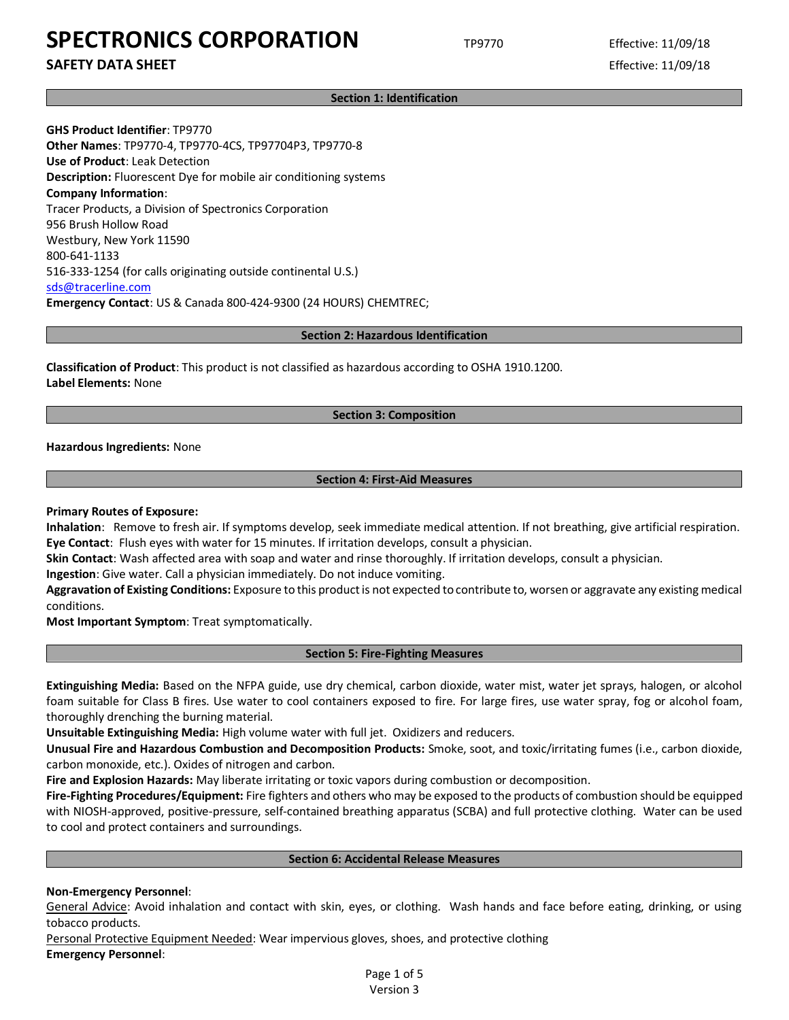## **SAFETY DATA SHEET** Effective: 11/09/18

**Section 1: Identification**

**GHS Product Identifier**: TP9770 **Other Names**: TP9770-4, TP9770-4CS, TP97704P3, TP9770-8 **Use of Product**: Leak Detection **Description:** Fluorescent Dye for mobile air conditioning systems **Company Information**: Tracer Products, a Division of Spectronics Corporation 956 Brush Hollow Road Westbury, New York 11590 800-641-1133 516-333-1254 (for calls originating outside continental U.S.) [sds@tracerline.com](mailto:sds@tracerline.com) **Emergency Contact**: US & Canada 800-424-9300 (24 HOURS) CHEMTREC;

#### **Section 2: Hazardous Identification**

**Classification of Product**: This product is not classified as hazardous according to OSHA 1910.1200. **Label Elements:** None

#### **Section 3: Composition**

**Hazardous Ingredients:** None

#### **Section 4: First-Aid Measures**

#### **Primary Routes of Exposure:**

**Inhalation**: Remove to fresh air. If symptoms develop, seek immediate medical attention. If not breathing, give artificial respiration. **Eye Contact**: Flush eyes with water for 15 minutes. If irritation develops, consult a physician.

**Skin Contact**: Wash affected area with soap and water and rinse thoroughly. If irritation develops, consult a physician.

**Ingestion**: Give water. Call a physician immediately. Do not induce vomiting.

**Aggravation of Existing Conditions:** Exposure to this product is not expected to contribute to, worsen or aggravate any existing medical conditions.

**Most Important Symptom**: Treat symptomatically.

#### **Section 5: Fire-Fighting Measures**

**Extinguishing Media:** Based on the NFPA guide, use dry chemical, carbon dioxide, water mist, water jet sprays, halogen, or alcohol foam suitable for Class B fires. Use water to cool containers exposed to fire. For large fires, use water spray, fog or alcohol foam, thoroughly drenching the burning material.

**Unsuitable Extinguishing Media:** High volume water with full jet. Oxidizers and reducers.

**Unusual Fire and Hazardous Combustion and Decomposition Products:** Smoke, soot, and toxic/irritating fumes (i.e., carbon dioxide, carbon monoxide, etc.). Oxides of nitrogen and carbon.

**Fire and Explosion Hazards:** May liberate irritating or toxic vapors during combustion or decomposition.

**Fire-Fighting Procedures/Equipment:** Fire fighters and others who may be exposed to the products of combustion should be equipped with NIOSH-approved, positive-pressure, self-contained breathing apparatus (SCBA) and full protective clothing. Water can be used to cool and protect containers and surroundings.

#### **Section 6: Accidental Release Measures**

## **Non-Emergency Personnel**:

General Advice: Avoid inhalation and contact with skin, eyes, or clothing. Wash hands and face before eating, drinking, or using tobacco products.

Personal Protective Equipment Needed: Wear impervious gloves, shoes, and protective clothing **Emergency Personnel**:

> Page 1 of 5 Version 3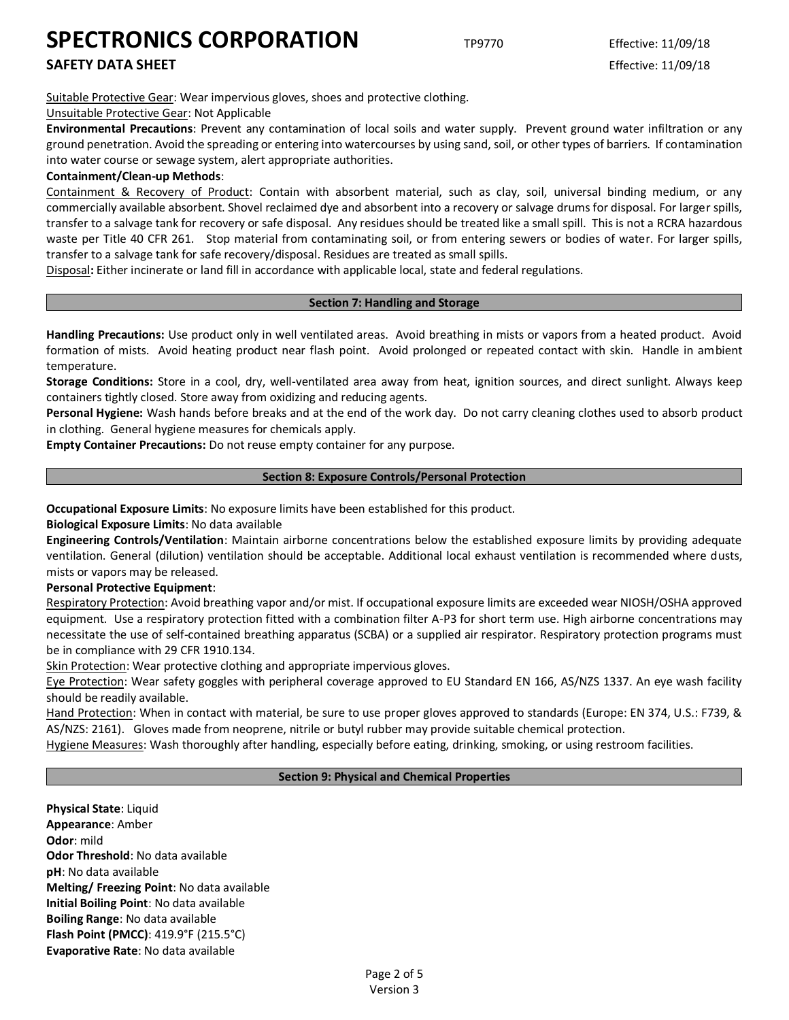**SAFETY DATA SHEET** Effective: 11/09/18

Suitable Protective Gear: Wear impervious gloves, shoes and protective clothing.

## Unsuitable Protective Gear: Not Applicable

**Environmental Precautions**: Prevent any contamination of local soils and water supply. Prevent ground water infiltration or any ground penetration. Avoid the spreading or entering into watercourses by using sand, soil, or other types of barriers. If contamination into water course or sewage system, alert appropriate authorities.

## **Containment/Clean-up Methods**:

Containment & Recovery of Product: Contain with absorbent material, such as clay, soil, universal binding medium, or any commercially available absorbent. Shovel reclaimed dye and absorbent into a recovery or salvage drums for disposal. For larger spills, transfer to a salvage tank for recovery or safe disposal. Any residues should be treated like a small spill. This is not a RCRA hazardous waste per Title 40 CFR 261. Stop material from contaminating soil, or from entering sewers or bodies of water. For larger spills, transfer to a salvage tank for safe recovery/disposal. Residues are treated as small spills.

Disposal**:** Either incinerate or land fill in accordance with applicable local, state and federal regulations.

## **Section 7: Handling and Storage**

**Handling Precautions:** Use product only in well ventilated areas. Avoid breathing in mists or vapors from a heated product. Avoid formation of mists. Avoid heating product near flash point. Avoid prolonged or repeated contact with skin. Handle in ambient temperature.

**Storage Conditions:** Store in a cool, dry, well-ventilated area away from heat, ignition sources, and direct sunlight. Always keep containers tightly closed. Store away from oxidizing and reducing agents.

**Personal Hygiene:** Wash hands before breaks and at the end of the work day. Do not carry cleaning clothes used to absorb product in clothing. General hygiene measures for chemicals apply.

**Empty Container Precautions:** Do not reuse empty container for any purpose.

#### **Section 8: Exposure Controls/Personal Protection**

**Occupational Exposure Limits**: No exposure limits have been established for this product.

**Biological Exposure Limits**: No data available

**Engineering Controls/Ventilation**: Maintain airborne concentrations below the established exposure limits by providing adequate ventilation. General (dilution) ventilation should be acceptable. Additional local exhaust ventilation is recommended where dusts, mists or vapors may be released.

## **Personal Protective Equipment**:

Respiratory Protection: Avoid breathing vapor and/or mist. If occupational exposure limits are exceeded wear NIOSH/OSHA approved equipment. Use a respiratory protection fitted with a combination filter A-P3 for short term use. High airborne concentrations may necessitate the use of self-contained breathing apparatus (SCBA) or a supplied air respirator. Respiratory protection programs must be in compliance with 29 CFR 1910.134.

Skin Protection: Wear protective clothing and appropriate impervious gloves.

Eye Protection: Wear safety goggles with peripheral coverage approved to EU Standard EN 166, AS/NZS 1337. An eye wash facility should be readily available.

Hand Protection: When in contact with material, be sure to use proper gloves approved to standards (Europe: EN 374, U.S.: F739, & AS/NZS: 2161). Gloves made from neoprene, nitrile or butyl rubber may provide suitable chemical protection.

Hygiene Measures: Wash thoroughly after handling, especially before eating, drinking, smoking, or using restroom facilities.

## **Section 9: Physical and Chemical Properties**

**Physical State**: Liquid **Appearance**: Amber **Odor**: mild **Odor Threshold**: No data available **pH**: No data available **Melting/ Freezing Point**: No data available **Initial Boiling Point**: No data available **Boiling Range**: No data available **Flash Point (PMCC)**: 419.9°F (215.5°C) **Evaporative Rate**: No data available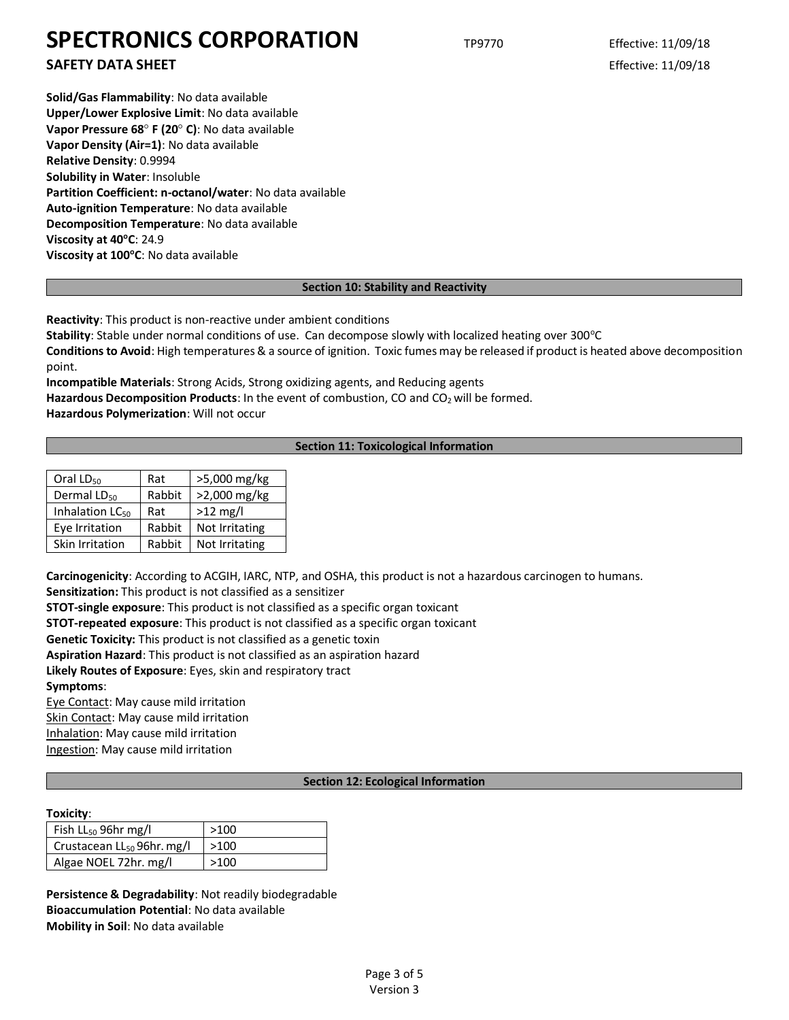**SAFETY DATA SHEET** Effective: 11/09/18

**Solid/Gas Flammability**: No data available **Upper/Lower Explosive Limit**: No data available **Vapor Pressure 68° F (20° C): No data available Vapor Density (Air=1)**: No data available **Relative Density**: 0.9994 **Solubility in Water**: Insoluble **Partition Coefficient: n-octanol/water**: No data available **Auto-ignition Temperature**: No data available **Decomposition Temperature**: No data available **Viscosity at 40<sup>o</sup>C**: 24.9 **Viscosity at 100<sup>o</sup>C**: No data available

## **Section 10: Stability and Reactivity**

**Reactivity**: This product is non-reactive under ambient conditions

**Stability**: Stable under normal conditions of use. Can decompose slowly with localized heating over 300°C

**Conditions to Avoid**: High temperatures & a source of ignition. Toxic fumes may be released if product is heated above decomposition point.

**Incompatible Materials**: Strong Acids, Strong oxidizing agents, and Reducing agents

Hazardous Decomposition Products: In the event of combustion, CO and CO<sub>2</sub> will be formed.

**Hazardous Polymerization**: Will not occur

## **Section 11: Toxicological Information**

| Oral $LD_{50}$              | Rat    | >5,000 mg/kg   |
|-----------------------------|--------|----------------|
| Dermal LD <sub>50</sub>     | Rabbit | >2,000 mg/kg   |
| Inhalation LC <sub>50</sub> | Rat    | $>12$ mg/l     |
| Eye Irritation              | Rabbit | Not Irritating |
| Skin Irritation             | Rabbit | Not Irritating |

**Carcinogenicity**: According to ACGIH, IARC, NTP, and OSHA, this product is not a hazardous carcinogen to humans. **Sensitization:** This product is not classified as a sensitizer

**STOT-single exposure**: This product is not classified as a specific organ toxicant

**STOT-repeated exposure**: This product is not classified as a specific organ toxicant

**Genetic Toxicity:** This product is not classified as a genetic toxin

**Aspiration Hazard**: This product is not classified as an aspiration hazard

**Likely Routes of Exposure**: Eyes, skin and respiratory tract

**Symptoms**:

Eye Contact: May cause mild irritation Skin Contact: May cause mild irritation

Inhalation: May cause mild irritation

Ingestion: May cause mild irritation

## **Section 12: Ecological Information**

## **Toxicity**:

| Fish $LL_{50}$ 96hr mg/l               | >100   |
|----------------------------------------|--------|
| Crustacean LL <sub>50</sub> 96hr. mg/l | $>100$ |
| Algae NOEL 72hr. mg/l                  | >100   |

**Persistence & Degradability**: Not readily biodegradable **Bioaccumulation Potential**: No data available **Mobility in Soil**: No data available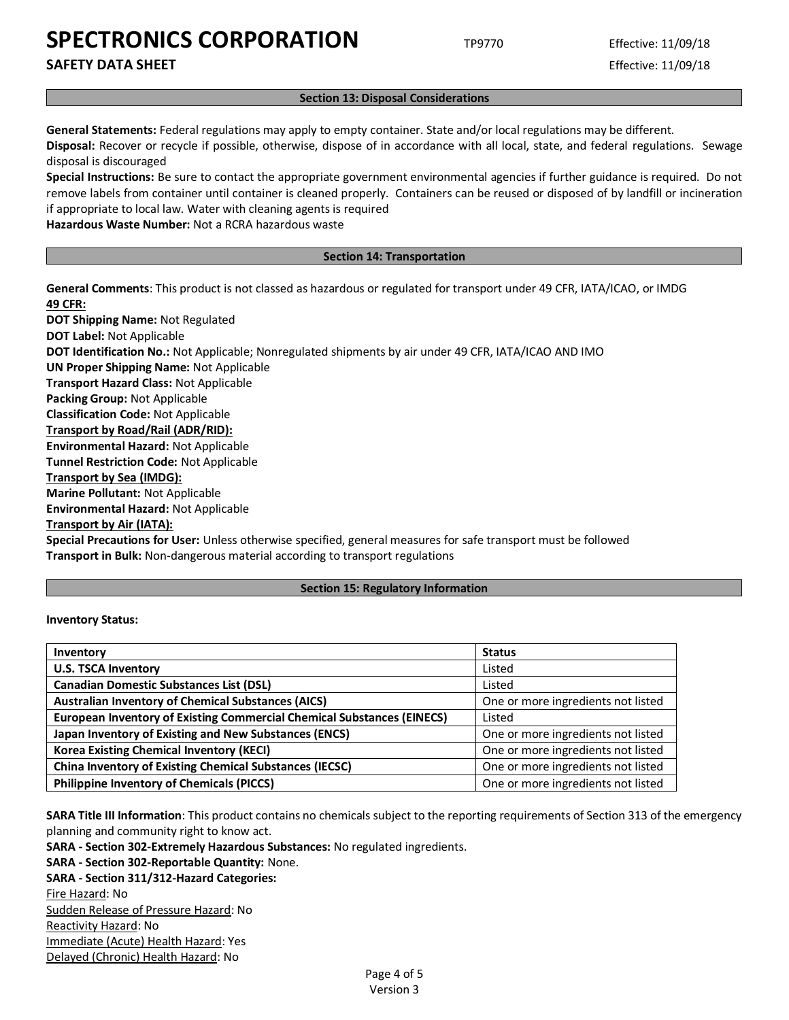**SAFETY DATA SHEET** Effective: 11/09/18

#### **Section 13: Disposal Considerations**

**General Statements:** Federal regulations may apply to empty container. State and/or local regulations may be different.

**Disposal:** Recover or recycle if possible, otherwise, dispose of in accordance with all local, state, and federal regulations. Sewage disposal is discouraged

**Special Instructions:** Be sure to contact the appropriate government environmental agencies if further guidance is required. Do not remove labels from container until container is cleaned properly. Containers can be reused or disposed of by landfill or incineration if appropriate to local law. Water with cleaning agents is required

**Hazardous Waste Number:** Not a RCRA hazardous waste

#### **Section 14: Transportation**

**General Comments**: This product is not classed as hazardous or regulated for transport under 49 CFR, IATA/ICAO, or IMDG **49 CFR:**

**DOT Shipping Name:** Not Regulated **DOT Label:** Not Applicable **DOT Identification No.:** Not Applicable; Nonregulated shipments by air under 49 CFR, IATA/ICAO AND IMO **UN Proper Shipping Name:** Not Applicable **Transport Hazard Class:** Not Applicable **Packing Group:** Not Applicable **Classification Code:** Not Applicable **Transport by Road/Rail (ADR/RID): Environmental Hazard:** Not Applicable **Tunnel Restriction Code:** Not Applicable **Transport by Sea (IMDG): Marine Pollutant:** Not Applicable **Environmental Hazard:** Not Applicable **Transport by Air (IATA):**

**Special Precautions for User:** Unless otherwise specified, general measures for safe transport must be followed **Transport in Bulk:** Non-dangerous material according to transport regulations

#### **Section 15: Regulatory Information**

#### **Inventory Status:**

| Inventory                                                                     | <b>Status</b>                      |
|-------------------------------------------------------------------------------|------------------------------------|
| <b>U.S. TSCA Inventory</b>                                                    | Listed                             |
| <b>Canadian Domestic Substances List (DSL)</b>                                | Listed                             |
| <b>Australian Inventory of Chemical Substances (AICS)</b>                     | One or more ingredients not listed |
| <b>European Inventory of Existing Commercial Chemical Substances (EINECS)</b> | Listed                             |
| Japan Inventory of Existing and New Substances (ENCS)                         | One or more ingredients not listed |
| <b>Korea Existing Chemical Inventory (KECI)</b>                               | One or more ingredients not listed |
| <b>China Inventory of Existing Chemical Substances (IECSC)</b>                | One or more ingredients not listed |
| <b>Philippine Inventory of Chemicals (PICCS)</b>                              | One or more ingredients not listed |

**SARA Title III Information**: This product contains no chemicals subject to the reporting requirements of Section 313 of the emergency planning and community right to know act.

**SARA - Section 302-Extremely Hazardous Substances:** No regulated ingredients.

**SARA - Section 302-Reportable Quantity:** None.

**SARA - Section 311/312-Hazard Categories:** Fire Hazard: No Sudden Release of Pressure Hazard: No Reactivity Hazard: No Immediate (Acute) Health Hazard: Yes Delayed (Chronic) Health Hazard: No